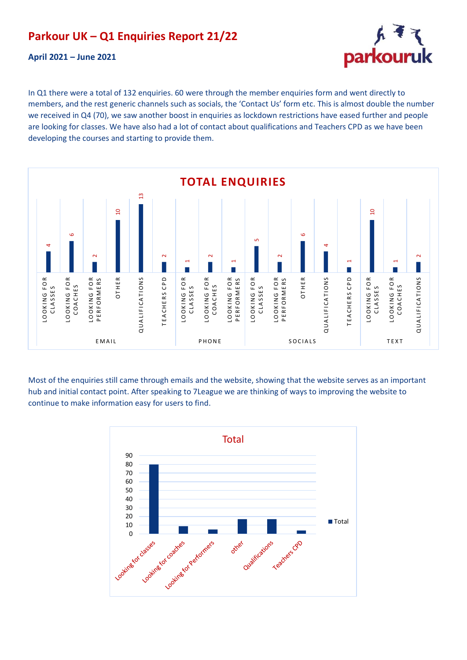## **Parkour UK – Q1 Enquiries Report 21/22**

**April 2021 – June 2021**



In Q1 there were a total of 132 enquiries. 60 were through the member enquiries form and went directly to members, and the rest generic channels such as socials, the 'Contact Us' form etc. This is almost double the number we received in Q4 (70), we saw another boost in enquiries as lockdown restrictions have eased further and people are looking for classes. We have also had a lot of contact about qualifications and Teachers CPD as we have been developing the courses and starting to provide them.



Most of the enquiries still came through emails and the website, showing that the website serves as an important hub and initial contact point. After speaking to 7League we are thinking of ways to improving the website to continue to make information easy for users to find.